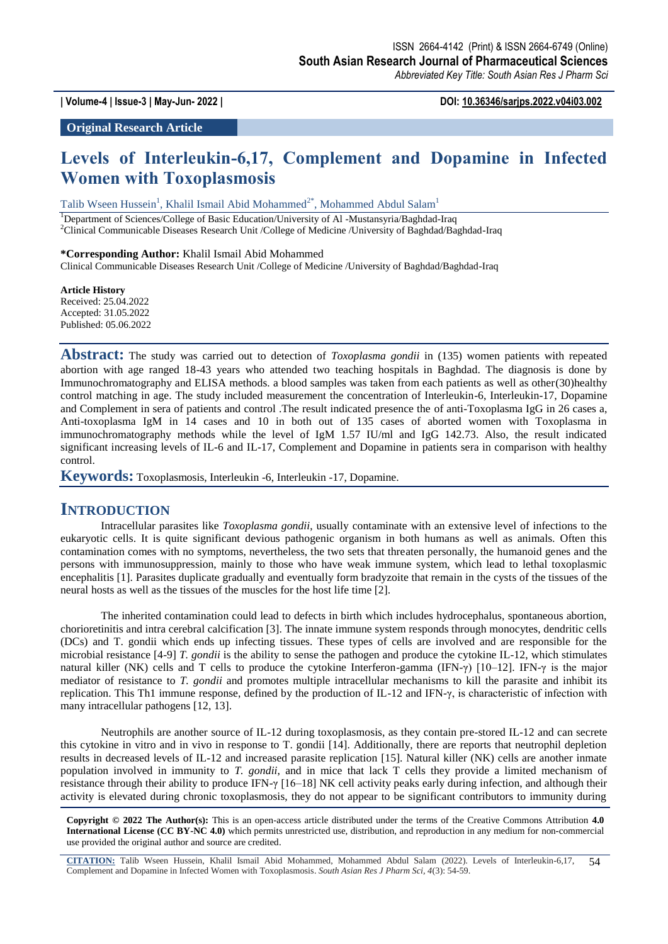**| Volume-4 | Issue-3 | May-Jun- 2022 | DOI: 10.36346/sarjps.2022.v04i03.002**

**Original Research Article**

# **Levels of Interleukin-6,17, Complement and Dopamine in Infected Women with Toxoplasmosis**

Talib Wseen Hussein<sup>1</sup>, Khalil Ismail Abid Mohammed<sup>2\*</sup>, Mohammed Abdul Salam<sup>1</sup>

<sup>1</sup>Department of Sciences/College of Basic Education/University of Al -Mustansyria/Baghdad-Iraq

<sup>2</sup>Clinical Communicable Diseases Research Unit /College of Medicine /University of Baghdad/Baghdad-Iraq

#### **\*Corresponding Author:** Khalil Ismail Abid Mohammed

Clinical Communicable Diseases Research Unit /College of Medicine /University of Baghdad/Baghdad-Iraq

#### **Article History**

Received: 25.04.2022 Accepted: 31.05.2022 Published: 05.06.2022

**Abstract:** The study was carried out to detection of *Toxoplasma gondii* in (135) women patients with repeated abortion with age ranged 18-43 years who attended two teaching hospitals in Baghdad. The diagnosis is done by Immunochromatography and ELISA methods. a blood samples was taken from each patients as well as other(30)healthy control matching in age. The study included measurement the concentration of Interleukin-6, Interleukin-17, Dopamine and Complement in sera of patients and control .The result indicated presence the of anti-Toxoplasma IgG in 26 cases a, Anti-toxoplasma IgM in 14 cases and 10 in both out of 135 cases of aborted women with Toxoplasma in immunochromatography methods while the level of IgM 1.57 IU/ml and IgG 142.73. Also, the result indicated significant increasing levels of IL-6 and IL-17, Complement and Dopamine in patients sera in comparison with healthy control.

**Keywords:** Toxoplasmosis, Interleukin -6, Interleukin -17, Dopamine.

## **INTRODUCTION**

Intracellular parasites like *Toxoplasma gondii*, usually contaminate with an extensive level of infections to the eukaryotic cells. It is quite significant devious pathogenic organism in both humans as well as animals. Often this contamination comes with no symptoms, nevertheless, the two sets that threaten personally, the humanoid genes and the persons with immunosuppression, mainly to those who have weak immune system, which lead to lethal toxoplasmic encephalitis [1]. Parasites duplicate gradually and eventually form bradyzoite that remain in the cysts of the tissues of the neural hosts as well as the tissues of the muscles for the host life time [2].

The inherited contamination could lead to defects in birth which includes hydrocephalus, spontaneous abortion, chorioretinitis and intra cerebral calcification [3]. The innate immune system responds through monocytes, dendritic cells (DCs) and T. gondii which ends up infecting tissues. These types of cells are involved and are responsible for the microbial resistance [4-9] *T. gondii* is the ability to sense the pathogen and produce the cytokine IL-12, which stimulates natural killer (NK) cells and T cells to produce the cytokine Interferon-gamma (IFN-γ) [10–12]. IFN-γ is the major mediator of resistance to *T. gondii* and promotes multiple intracellular mechanisms to kill the parasite and inhibit its replication. This Th1 immune response, defined by the production of IL-12 and IFN-γ, is characteristic of infection with many intracellular pathogens [12, 13].

Neutrophils are another source of IL-12 during toxoplasmosis, as they contain pre-stored IL-12 and can secrete this cytokine in vitro and in vivo in response to T. gondii [14]. Additionally, there are reports that neutrophil depletion results in decreased levels of IL-12 and increased parasite replication [15]. Natural killer (NK) cells are another inmate population involved in immunity to *T. gondii*, and in mice that lack T cells they provide a limited mechanism of resistance through their ability to produce IFN-γ [16–18] NK cell activity peaks early during infection, and although their activity is elevated during chronic toxoplasmosis, they do not appear to be significant contributors to immunity during

**Copyright © 2022 The Author(s):** This is an open-access article distributed under the terms of the Creative Commons Attribution **4.0 International License (CC BY-NC 4.0)** which permits unrestricted use, distribution, and reproduction in any medium for non-commercial use provided the original author and source are credited.

**CITATION:** Talib Wseen Hussein, Khalil Ismail Abid Mohammed, Mohammed Abdul Salam (2022). Levels of Interleukin-6,17, Complement and Dopamine in Infected Women with Toxoplasmosis. *South Asian Res J Pharm Sci, 4*(3): 54-59. 54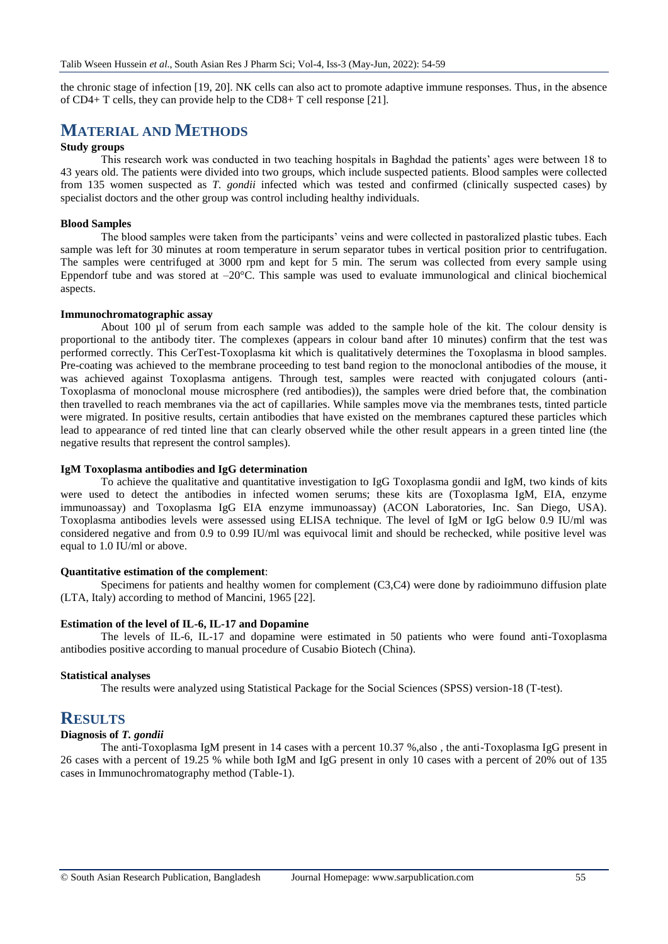the chronic stage of infection [19, 20]. NK cells can also act to promote adaptive immune responses. Thus, in the absence of CD4+ T cells, they can provide help to the CD8+ T cell response [21].

# **MATERIAL AND METHODS**

## **Study groups**

This research work was conducted in two teaching hospitals in Baghdad the patients' ages were between 18 to 43 years old. The patients were divided into two groups, which include suspected patients. Blood samples were collected from 135 women suspected as *T. gondii* infected which was tested and confirmed (clinically suspected cases) by specialist doctors and the other group was control including healthy individuals.

#### **Blood Samples**

The blood samples were taken from the participants' veins and were collected in pastoralized plastic tubes. Each sample was left for 30 minutes at room temperature in serum separator tubes in vertical position prior to centrifugation. The samples were centrifuged at 3000 rpm and kept for 5 min. The serum was collected from every sample using Eppendorf tube and was stored at –20°C. This sample was used to evaluate immunological and clinical biochemical aspects.

#### **Immunochromatographic assay**

About 100 µl of serum from each sample was added to the sample hole of the kit. The colour density is proportional to the antibody titer. The complexes (appears in colour band after 10 minutes) confirm that the test was performed correctly. This CerTest-Toxoplasma kit which is qualitatively determines the Toxoplasma in blood samples. Pre-coating was achieved to the membrane proceeding to test band region to the monoclonal antibodies of the mouse, it was achieved against Toxoplasma antigens. Through test, samples were reacted with conjugated colours (anti-Toxoplasma of monoclonal mouse microsphere (red antibodies)), the samples were dried before that, the combination then travelled to reach membranes via the act of capillaries. While samples move via the membranes tests, tinted particle were migrated. In positive results, certain antibodies that have existed on the membranes captured these particles which lead to appearance of red tinted line that can clearly observed while the other result appears in a green tinted line (the negative results that represent the control samples).

#### **IgM Toxoplasma antibodies and IgG determination**

To achieve the qualitative and quantitative investigation to IgG Toxoplasma gondii and IgM, two kinds of kits were used to detect the antibodies in infected women serums; these kits are (Toxoplasma IgM, EIA, enzyme immunoassay) and Toxoplasma IgG EIA enzyme immunoassay) (ACON Laboratories, Inc. San Diego, USA). Toxoplasma antibodies levels were assessed using ELISA technique. The level of IgM or IgG below 0.9 IU/ml was considered negative and from 0.9 to 0.99 IU/ml was equivocal limit and should be rechecked, while positive level was equal to 1.0 IU/ml or above.

#### **Quantitative estimation of the complement**:

Specimens for patients and healthy women for complement (C3,C4) were done by radioimmuno diffusion plate (LTA, Italy) according to method of Mancini, 1965 [22].

## **Estimation of the level of IL-6, IL-17 and Dopamine**

The levels of IL-6, IL-17 and dopamine were estimated in 50 patients who were found anti-Toxoplasma antibodies positive according to manual procedure of Cusabio Biotech (China).

#### **Statistical analyses**

The results were analyzed using Statistical Package for the Social Sciences (SPSS) version-18 (T-test).

# **RESULTS**

### **Diagnosis of** *T. gondii*

The anti-Toxoplasma IgM present in 14 cases with a percent 10.37 %,also , the anti-Toxoplasma IgG present in 26 cases with a percent of 19.25 % while both IgM and IgG present in only 10 cases with a percent of 20% out of 135 cases in Immunochromatography method (Table-1).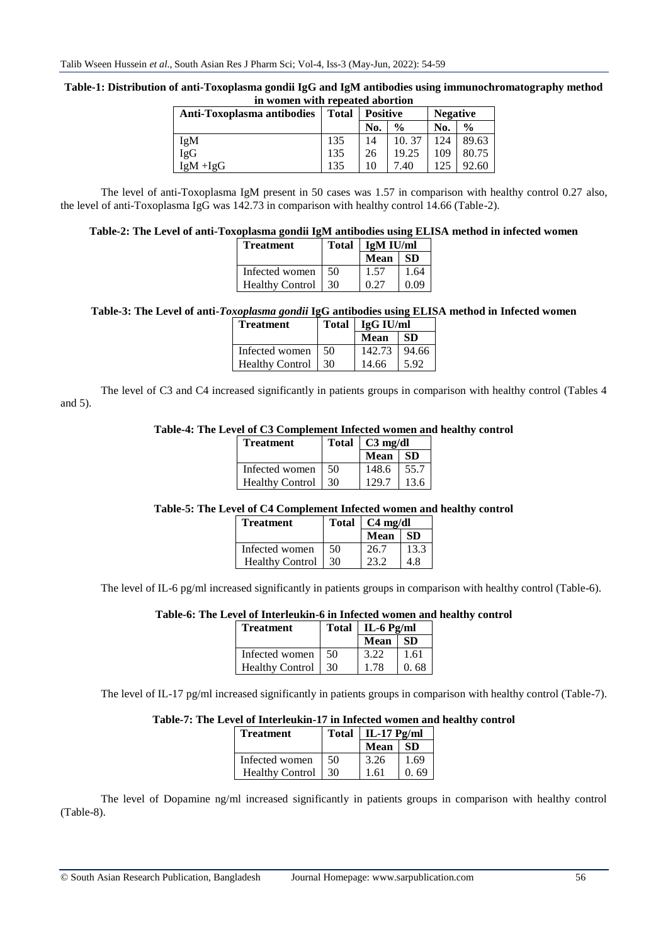### **Table-1: Distribution of anti-Toxoplasma gondii IgG and IgM antibodies using immunochromatography method in women with repeated abortion**

| Anti-Toxoplasma antibodies | <b>Total</b> | <b>Positive</b> |               | <b>Negative</b> |               |  |
|----------------------------|--------------|-----------------|---------------|-----------------|---------------|--|
|                            |              | No.             | $\frac{0}{0}$ | No.             | $\frac{0}{0}$ |  |
| IgM                        | 135          | 14              | 10.37         | 24              | 89.63         |  |
| IgG                        | 135          | 26              | 19.25         | 109             | 80.75         |  |
| $IgM + IgG$                | 135          | 10              | 7.40          | 125             | 92.60         |  |

The level of anti-Toxoplasma IgM present in 50 cases was 1.57 in comparison with healthy control 0.27 also, the level of anti-Toxoplasma IgG was 142.73 in comparison with healthy control 14.66 (Table-2).

## **Table-2: The Level of anti-Toxoplasma gondii IgM antibodies using ELISA method in infected women**

| <b>Treatment</b>       |       | Total   IgM IU/ml |      |
|------------------------|-------|-------------------|------|
|                        |       | Mean              | -SD  |
| Infected women         | - 50. | 1.57              | 1.64 |
| <b>Healthy Control</b> | 30    | 0.27              | 0.09 |

### **Table-3: The Level of anti-***Toxoplasma gondii* **IgG antibodies using ELISA method in Infected women**

| <b>Treatment</b>       |     | Total   IgG IU/ml |           |
|------------------------|-----|-------------------|-----------|
|                        |     | Mean              | <b>SD</b> |
| Infected women         | -50 | 142.73            | 94.66     |
| <b>Healthy Control</b> | 30  | 14.66             | 5.92      |

The level of C3 and C4 increased significantly in patients groups in comparison with healthy control (Tables 4 and 5).

#### **Table-4: The Level of C3 Complement Infected women and healthy control**

| <b>Treatment</b>     |     | Total $\int C3 \text{ mg/dl}$ |      |
|----------------------|-----|-------------------------------|------|
|                      |     | Mean   SD                     |      |
| Infected women       | -50 | $148.6$   55.7                |      |
| Healthy Control   30 |     | 129.7                         | 13.6 |

## **Table-5: The Level of C4 Complement Infected women and healthy control**

| Treatment              |    | Total   C4 mg/dl |      |
|------------------------|----|------------------|------|
|                        |    | <b>Mean</b>      | -SD  |
| Infected women         | 50 | 26.7             | 13.3 |
| <b>Healthy Control</b> | 30 | 23.2             | 48   |

The level of IL-6 pg/ml increased significantly in patients groups in comparison with healthy control (Table-6).

## **Table-6: The Level of Interleukin-6 in Infected women and healthy control**

| <b>Treatment</b>       |     | Total   IL-6 Pg/ml |       |
|------------------------|-----|--------------------|-------|
|                        |     | <b>Mean</b>        | ∣ SD  |
| Infected women         | -50 | 3.22               | -1.61 |
| <b>Healthy Control</b> | 130 | 1.78               | 0.68  |

The level of IL-17 pg/ml increased significantly in patients groups in comparison with healthy control (Table-7).

#### **Table-7: The Level of Interleukin-17 in Infected women and healthy control**

| <b>Treatment</b>       | <b>Total</b> | IL-17 $Pg/ml$ |      |
|------------------------|--------------|---------------|------|
|                        |              | Mean          | SD.  |
| Infected women         | 50           | 3.26          | 1.69 |
| <b>Healthy Control</b> | 30           | 1.61          | 0.69 |

The level of Dopamine ng/ml increased significantly in patients groups in comparison with healthy control (Table-8).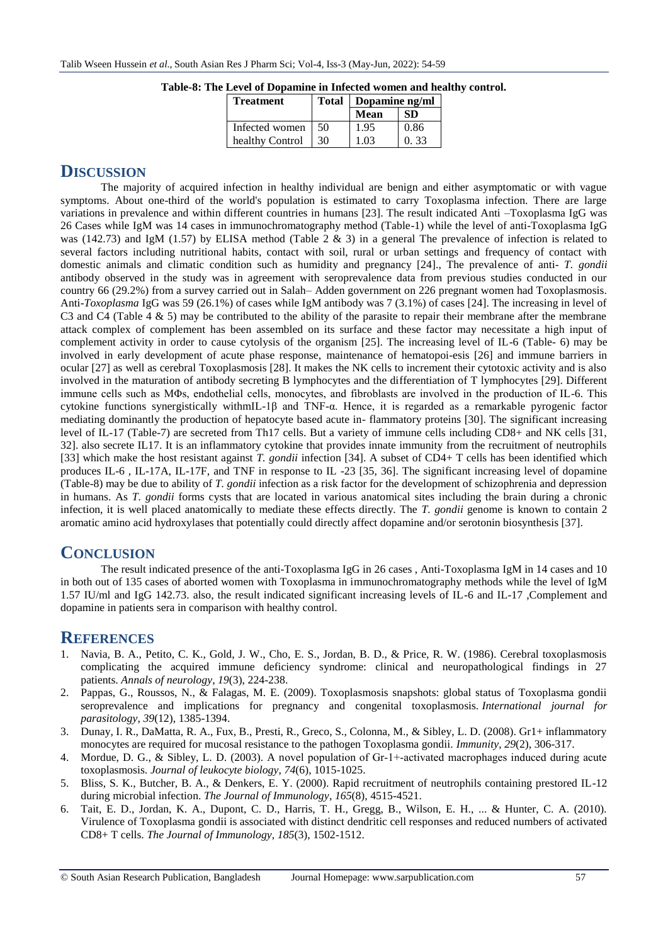| <b>Treatment</b> | Total | Dopamine ng/ml |           |  |
|------------------|-------|----------------|-----------|--|
|                  |       | Mean           | <b>SD</b> |  |
| Infected women   | 50    | 1.95           | 0.86      |  |
| healthy Control  | 30    | 1.03           | 0.33      |  |

**Table-8: The Level of Dopamine in Infected women and healthy control.**

# **DISCUSSION**

The majority of acquired infection in healthy individual are benign and either asymptomatic or with vague symptoms. About one-third of the world's population is estimated to carry Toxoplasma infection. There are large variations in prevalence and within different countries in humans [23]. The result indicated Anti –Toxoplasma IgG was 26 Cases while IgM was 14 cases in immunochromatography method (Table-1) while the level of anti-Toxoplasma IgG was (142.73) and IgM (1.57) by ELISA method (Table 2 & 3) in a general The prevalence of infection is related to several factors including nutritional habits, contact with soil, rural or urban settings and frequency of contact with domestic animals and climatic condition such as humidity and pregnancy [24]., The prevalence of anti- *T. gondii*  antibody observed in the study was in agreement with seroprevalence data from previous studies conducted in our country 66 (29.2%) from a survey carried out in Salah– Adden government on 226 pregnant women had Toxoplasmosis. Anti-*Toxoplasma* IgG was 59 (26.1%) of cases while IgM antibody was 7 (3.1%) of cases [24]. The increasing in level of C3 and C4 (Table 4  $\&$  5) may be contributed to the ability of the parasite to repair their membrane after the membrane attack complex of complement has been assembled on its surface and these factor may necessitate a high input of complement activity in order to cause cytolysis of the organism [25]. The increasing level of IL-6 (Table- 6) may be involved in early development of acute phase response, maintenance of hematopoi-esis [26] and immune barriers in ocular [27] as well as cerebral Toxoplasmosis [28]. It makes the NK cells to increment their cytotoxic activity and is also involved in the maturation of antibody secreting B lymphocytes and the differentiation of T lymphocytes [29]. Different immune cells such as MΦs, endothelial cells, monocytes, and fibroblasts are involved in the production of IL-6. This cytokine functions synergistically withmIL-1β and TNF-α. Hence, it is regarded as a remarkable pyrogenic factor mediating dominantly the production of hepatocyte based acute in- flammatory proteins [30]. The significant increasing level of IL-17 (Table-7) are secreted from Th17 cells. But a variety of immune cells including CD8+ and NK cells [31, 32]. also secrete IL17. It is an inflammatory cytokine that provides innate immunity from the recruitment of neutrophils [33] which make the host resistant against *T. gondii* infection [34]. A subset of CD4+ T cells has been identified which produces IL-6 , IL-17A, IL-17F, and TNF in response to IL -23 [35, 36]. The significant increasing level of dopamine (Table-8) may be due to ability of *T. gondii* infection as a risk factor for the development of schizophrenia and depression in humans. As *T. gondii* forms cysts that are located in various anatomical sites including the brain during a chronic infection, it is well placed anatomically to mediate these effects directly. The *T. gondii* genome is known to contain 2 aromatic amino acid hydroxylases that potentially could directly affect dopamine and/or serotonin biosynthesis [37].

# **CONCLUSION**

The result indicated presence of the anti-Toxoplasma IgG in 26 cases , Anti-Toxoplasma IgM in 14 cases and 10 in both out of 135 cases of aborted women with Toxoplasma in immunochromatography methods while the level of IgM 1.57 IU/ml and IgG 142.73. also, the result indicated significant increasing levels of IL-6 and IL-17 ,Complement and dopamine in patients sera in comparison with healthy control.

# **REFERENCES**

- 1. Navia, B. A., Petito, C. K., Gold, J. W., Cho, E. S., Jordan, B. D., & Price, R. W. (1986). Cerebral toxoplasmosis complicating the acquired immune deficiency syndrome: clinical and neuropathological findings in 27 patients. *Annals of neurology*, *19*(3), 224-238.
- 2. Pappas, G., Roussos, N., & Falagas, M. E. (2009). Toxoplasmosis snapshots: global status of Toxoplasma gondii seroprevalence and implications for pregnancy and congenital toxoplasmosis. *International journal for parasitology*, *39*(12), 1385-1394.
- 3. Dunay, I. R., DaMatta, R. A., Fux, B., Presti, R., Greco, S., Colonna, M., & Sibley, L. D. (2008). Gr1+ inflammatory monocytes are required for mucosal resistance to the pathogen Toxoplasma gondii. *Immunity*, *29*(2), 306-317.
- 4. Mordue, D. G., & Sibley, L. D. (2003). A novel population of Gr-1+-activated macrophages induced during acute toxoplasmosis. *Journal of leukocyte biology*, *74*(6), 1015-1025.
- 5. Bliss, S. K., Butcher, B. A., & Denkers, E. Y. (2000). Rapid recruitment of neutrophils containing prestored IL-12 during microbial infection. *The Journal of Immunology*, *165*(8), 4515-4521.
- 6. Tait, E. D., Jordan, K. A., Dupont, C. D., Harris, T. H., Gregg, B., Wilson, E. H., ... & Hunter, C. A. (2010). Virulence of Toxoplasma gondii is associated with distinct dendritic cell responses and reduced numbers of activated CD8+ T cells. *The Journal of Immunology*, *185*(3), 1502-1512.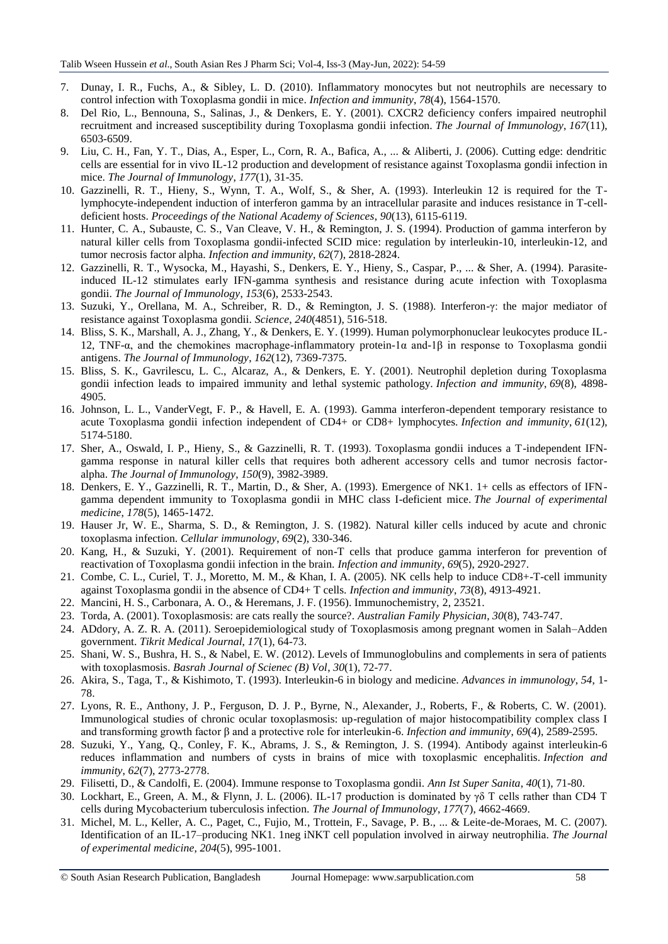- 7. Dunay, I. R., Fuchs, A., & Sibley, L. D. (2010). Inflammatory monocytes but not neutrophils are necessary to control infection with Toxoplasma gondii in mice. *Infection and immunity*, *78*(4), 1564-1570.
- 8. Del Rio, L., Bennouna, S., Salinas, J., & Denkers, E. Y. (2001). CXCR2 deficiency confers impaired neutrophil recruitment and increased susceptibility during Toxoplasma gondii infection. *The Journal of Immunology*, *167*(11), 6503-6509.
- 9. Liu, C. H., Fan, Y. T., Dias, A., Esper, L., Corn, R. A., Bafica, A., ... & Aliberti, J. (2006). Cutting edge: dendritic cells are essential for in vivo IL-12 production and development of resistance against Toxoplasma gondii infection in mice. *The Journal of Immunology*, *177*(1), 31-35.
- 10. Gazzinelli, R. T., Hieny, S., Wynn, T. A., Wolf, S., & Sher, A. (1993). Interleukin 12 is required for the Tlymphocyte-independent induction of interferon gamma by an intracellular parasite and induces resistance in T-celldeficient hosts. *Proceedings of the National Academy of Sciences*, *90*(13), 6115-6119.
- 11. Hunter, C. A., Subauste, C. S., Van Cleave, V. H., & Remington, J. S. (1994). Production of gamma interferon by natural killer cells from Toxoplasma gondii-infected SCID mice: regulation by interleukin-10, interleukin-12, and tumor necrosis factor alpha. *Infection and immunity*, *62*(7), 2818-2824.
- 12. Gazzinelli, R. T., Wysocka, M., Hayashi, S., Denkers, E. Y., Hieny, S., Caspar, P., ... & Sher, A. (1994). Parasiteinduced IL-12 stimulates early IFN-gamma synthesis and resistance during acute infection with Toxoplasma gondii. *The Journal of Immunology*, *153*(6), 2533-2543.
- 13. Suzuki, Y., Orellana, M. A., Schreiber, R. D., & Remington, J. S. (1988). Interferon-γ: the major mediator of resistance against Toxoplasma gondii. *Science*, *240*(4851), 516-518.
- 14. Bliss, S. K., Marshall, A. J., Zhang, Y., & Denkers, E. Y. (1999). Human polymorphonuclear leukocytes produce IL-12, TNF-α, and the chemokines macrophage-inflammatory protein-1α and-1β in response to Toxoplasma gondii antigens. *The Journal of Immunology*, *162*(12), 7369-7375.
- 15. Bliss, S. K., Gavrilescu, L. C., Alcaraz, A., & Denkers, E. Y. (2001). Neutrophil depletion during Toxoplasma gondii infection leads to impaired immunity and lethal systemic pathology. *Infection and immunity*, *69*(8), 4898- 4905.
- 16. Johnson, L. L., VanderVegt, F. P., & Havell, E. A. (1993). Gamma interferon-dependent temporary resistance to acute Toxoplasma gondii infection independent of CD4+ or CD8+ lymphocytes. *Infection and immunity*, *61*(12), 5174-5180.
- 17. Sher, A., Oswald, I. P., Hieny, S., & Gazzinelli, R. T. (1993). Toxoplasma gondii induces a T-independent IFNgamma response in natural killer cells that requires both adherent accessory cells and tumor necrosis factoralpha. *The Journal of Immunology*, *150*(9), 3982-3989.
- 18. Denkers, E. Y., Gazzinelli, R. T., Martin, D., & Sher, A. (1993). Emergence of NK1. 1+ cells as effectors of IFNgamma dependent immunity to Toxoplasma gondii in MHC class I-deficient mice. *The Journal of experimental medicine*, *178*(5), 1465-1472.
- 19. Hauser Jr, W. E., Sharma, S. D., & Remington, J. S. (1982). Natural killer cells induced by acute and chronic toxoplasma infection. *Cellular immunology*, *69*(2), 330-346.
- 20. Kang, H., & Suzuki, Y. (2001). Requirement of non-T cells that produce gamma interferon for prevention of reactivation of Toxoplasma gondii infection in the brain. *Infection and immunity*, *69*(5), 2920-2927.
- 21. Combe, C. L., Curiel, T. J., Moretto, M. M., & Khan, I. A. (2005). NK cells help to induce CD8+-T-cell immunity against Toxoplasma gondii in the absence of CD4+ T cells. *Infection and immunity*, *73*(8), 4913-4921.
- 22. Mancini, H. S., Carbonara, A. O., & Heremans, J. F. (1956). Immunochemistry, 2, 23521.
- 23. Torda, A. (2001). Toxoplasmosis: are cats really the source?. *Australian Family Physician*, *30*(8), 743-747.
- 24. ADdory, A. Z. R. A. (2011). Seroepidemiological study of Toxoplasmosis among pregnant women in Salah–Adden government. *Tikrit Medical Journal*, *17*(1), 64-73.
- 25. Shani, W. S., Bushra, H. S., & Nabel, E. W. (2012). Levels of Immunoglobulins and complements in sera of patients with toxoplasmosis. *Basrah Journal of Scienec (B) Vol*, *30*(1), 72-77.
- 26. Akira, S., Taga, T., & Kishimoto, T. (1993). Interleukin-6 in biology and medicine. *Advances in immunology*, *54*, 1- 78.
- 27. Lyons, R. E., Anthony, J. P., Ferguson, D. J. P., Byrne, N., Alexander, J., Roberts, F., & Roberts, C. W. (2001). Immunological studies of chronic ocular toxoplasmosis: up-regulation of major histocompatibility complex class I and transforming growth factor β and a protective role for interleukin-6. *Infection and immunity*, *69*(4), 2589-2595.
- 28. Suzuki, Y., Yang, Q., Conley, F. K., Abrams, J. S., & Remington, J. S. (1994). Antibody against interleukin-6 reduces inflammation and numbers of cysts in brains of mice with toxoplasmic encephalitis. *Infection and immunity*, *62*(7), 2773-2778.
- 29. Filisetti, D., & Candolfi, E. (2004). Immune response to Toxoplasma gondii. *Ann Ist Super Sanita*, *40*(1), 71-80.
- 30. Lockhart, E., Green, A. M., & Flynn, J. L. (2006). IL-17 production is dominated by γδ T cells rather than CD4 T cells during Mycobacterium tuberculosis infection. *The Journal of Immunology*, *177*(7), 4662-4669.
- 31. Michel, M. L., Keller, A. C., Paget, C., Fujio, M., Trottein, F., Savage, P. B., ... & Leite-de-Moraes, M. C. (2007). Identification of an IL-17–producing NK1. 1neg iNKT cell population involved in airway neutrophilia. *The Journal of experimental medicine*, *204*(5), 995-1001.